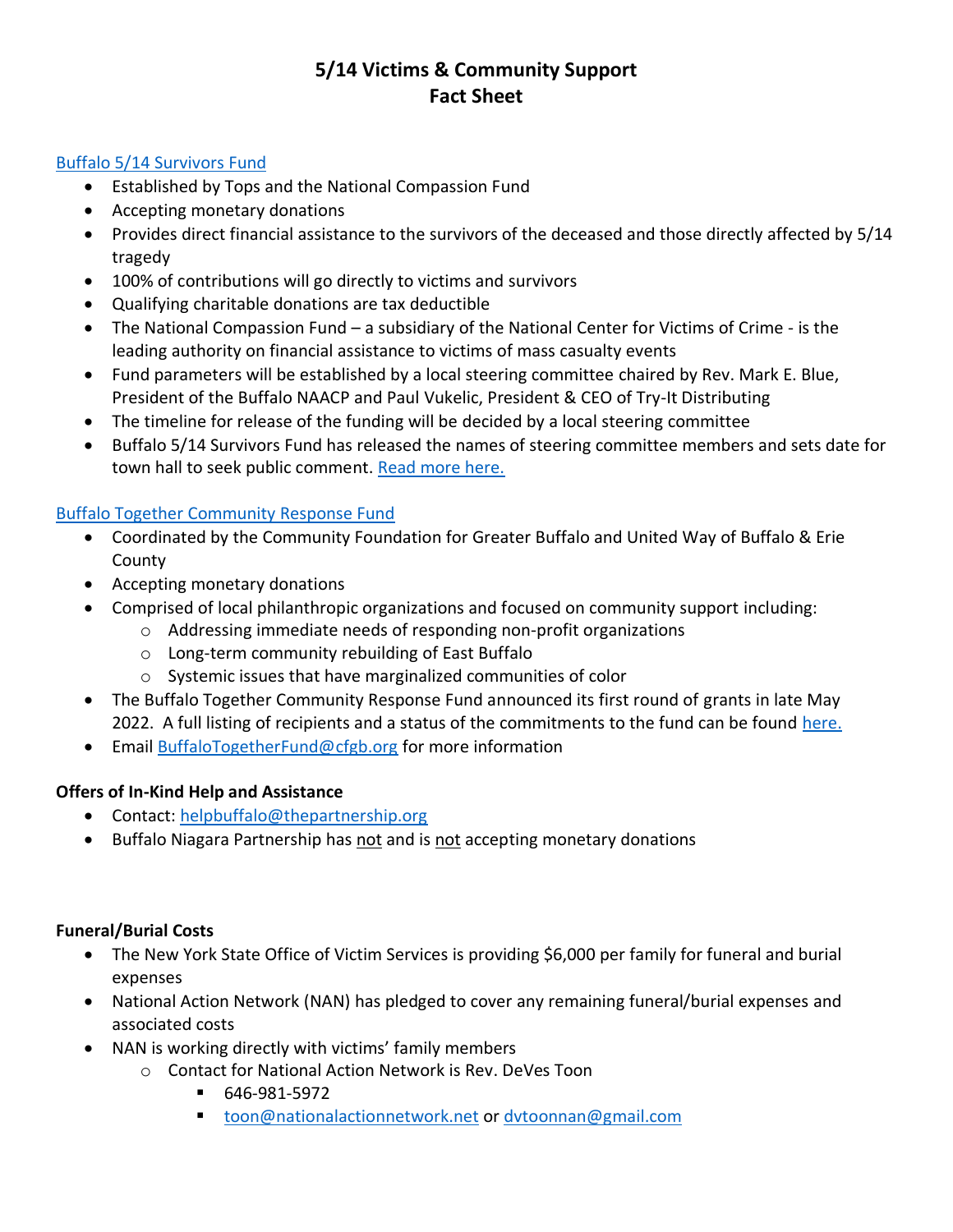# **5/14 Victims & Community Support Fact Sheet**

### Buffalo 5/14 [Survivors Fund](https://nationalcompassion.org/fund/buffalo-survivors-fund/)

- Established by Tops and the National Compassion Fund
- Accepting monetary donations
- Provides direct financial assistance to the survivors of the deceased and those directly affected by 5/14 tragedy
- 100% of contributions will go directly to victims and survivors
- Qualifying charitable donations are tax deductible
- The National Compassion Fund a subsidiary of the National Center for Victims of Crime is the leading authority on financial assistance to victims of mass casualty events
- Fund parameters will be established by a local steering committee chaired by Rev. Mark E. Blue, President of the Buffalo NAACP and Paul Vukelic, President & CEO of Try-It Distributing
- The timeline for release of the funding will be decided by a local steering committee
- Buffalo 5/14 Survivors Fund has released the names of steering committee members and sets date for town hall to seek public comment. [Read more here.](https://nationalcompassion.org/fund/buffalo-survivors-fund/)

## [Buffalo Together Community Response Fund](https://www.buffalotogetherfund.org/)

- Coordinated by the Community Foundation for Greater Buffalo and United Way of Buffalo & Erie County
- Accepting monetary donations
- Comprised of local philanthropic organizations and focused on community support including:
	- o Addressing immediate needs of responding non-profit organizations
	- o Long-term community rebuilding of East Buffalo
	- o Systemic issues that have marginalized communities of color
- The Buffalo Together Community Response Fund announced its first round of grants in late May 2022. A full listing of recipients and a status of the commitments to the fund can be found [here.](https://www.thepartnership.org/wp-content/uploads/2022/06/buffalo-together-fund-phase-1-press-release-220602.pdf)
- Email [BuffaloTogetherFund@cfgb.org](mailto:BuffaloTogetherFund@cfgb.org) for more information

# **Offers of In-Kind Help and Assistance**

- Contact: [helpbuffalo@thepartnership.org](mailto:helpbuffalo@thepartnership.org)
- Buffalo Niagara Partnership has not and is not accepting monetary donations

### **Funeral/Burial Costs**

- The New York State Office of Victim Services is providing \$6,000 per family for funeral and burial expenses
- National Action Network (NAN) has pledged to cover any remaining funeral/burial expenses and associated costs
- NAN is working directly with victims' family members
	- o Contact for National Action Network is Rev. DeVes Toon
		- 646-981-5972
		- [toon@nationalactionnetwork.net](mailto:toon@nationalactionnetwork.net) or [dvtoonnan@gmail.com](mailto:dvtoonnan@gmail.com)